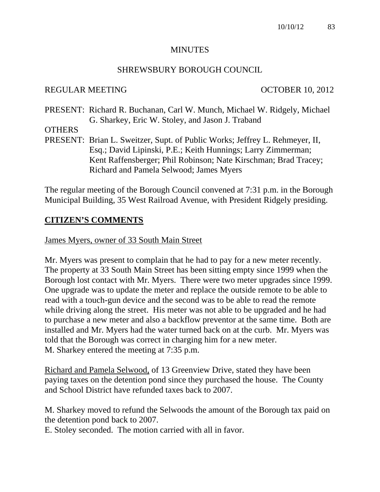## **MINUTES**

#### SHREWSBURY BOROUGH COUNCIL

#### REGULAR MEETING OCTOBER 10, 2012

PRESENT: Richard R. Buchanan, Carl W. Munch, Michael W. Ridgely, Michael G. Sharkey, Eric W. Stoley, and Jason J. Traband

#### **OTHERS**

PRESENT: Brian L. Sweitzer, Supt. of Public Works; Jeffrey L. Rehmeyer, II, Esq.; David Lipinski, P.E.; Keith Hunnings; Larry Zimmerman; Kent Raffensberger; Phil Robinson; Nate Kirschman; Brad Tracey; Richard and Pamela Selwood; James Myers

The regular meeting of the Borough Council convened at 7:31 p.m. in the Borough Municipal Building, 35 West Railroad Avenue, with President Ridgely presiding.

# **CITIZEN'S COMMENTS**

#### James Myers, owner of 33 South Main Street

Mr. Myers was present to complain that he had to pay for a new meter recently. The property at 33 South Main Street has been sitting empty since 1999 when the Borough lost contact with Mr. Myers. There were two meter upgrades since 1999. One upgrade was to update the meter and replace the outside remote to be able to read with a touch-gun device and the second was to be able to read the remote while driving along the street. His meter was not able to be upgraded and he had to purchase a new meter and also a backflow preventor at the same time. Both are installed and Mr. Myers had the water turned back on at the curb. Mr. Myers was told that the Borough was correct in charging him for a new meter. M. Sharkey entered the meeting at 7:35 p.m.

Richard and Pamela Selwood, of 13 Greenview Drive, stated they have been paying taxes on the detention pond since they purchased the house. The County and School District have refunded taxes back to 2007.

M. Sharkey moved to refund the Selwoods the amount of the Borough tax paid on the detention pond back to 2007.

E. Stoley seconded. The motion carried with all in favor.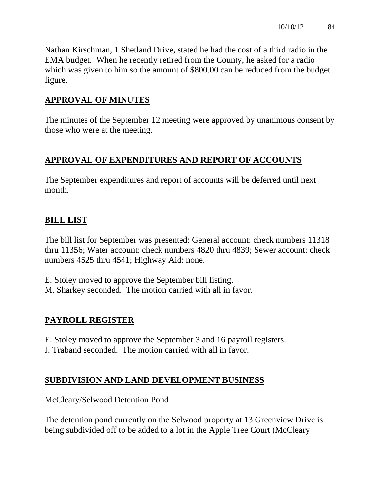Nathan Kirschman, 1 Shetland Drive, stated he had the cost of a third radio in the EMA budget. When he recently retired from the County, he asked for a radio which was given to him so the amount of \$800.00 can be reduced from the budget figure.

# **APPROVAL OF MINUTES**

The minutes of the September 12 meeting were approved by unanimous consent by those who were at the meeting.

# **APPROVAL OF EXPENDITURES AND REPORT OF ACCOUNTS**

The September expenditures and report of accounts will be deferred until next month.

# **BILL LIST**

The bill list for September was presented: General account: check numbers 11318 thru 11356; Water account: check numbers 4820 thru 4839; Sewer account: check numbers 4525 thru 4541; Highway Aid: none.

E. Stoley moved to approve the September bill listing. M. Sharkey seconded. The motion carried with all in favor.

# **PAYROLL REGISTER**

E. Stoley moved to approve the September 3 and 16 payroll registers.

J. Traband seconded. The motion carried with all in favor.

# **SUBDIVISION AND LAND DEVELOPMENT BUSINESS**

McCleary/Selwood Detention Pond

The detention pond currently on the Selwood property at 13 Greenview Drive is being subdivided off to be added to a lot in the Apple Tree Court (McCleary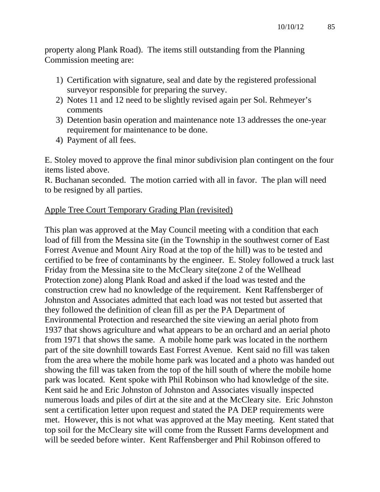property along Plank Road). The items still outstanding from the Planning Commission meeting are:

- 1) Certification with signature, seal and date by the registered professional surveyor responsible for preparing the survey.
- 2) Notes 11 and 12 need to be slightly revised again per Sol. Rehmeyer's comments
- 3) Detention basin operation and maintenance note 13 addresses the one-year requirement for maintenance to be done.
- 4) Payment of all fees.

E. Stoley moved to approve the final minor subdivision plan contingent on the four items listed above.

R. Buchanan seconded. The motion carried with all in favor. The plan will need to be resigned by all parties.

## Apple Tree Court Temporary Grading Plan (revisited)

This plan was approved at the May Council meeting with a condition that each load of fill from the Messina site (in the Township in the southwest corner of East Forrest Avenue and Mount Airy Road at the top of the hill) was to be tested and certified to be free of contaminants by the engineer. E. Stoley followed a truck last Friday from the Messina site to the McCleary site(zone 2 of the Wellhead Protection zone) along Plank Road and asked if the load was tested and the construction crew had no knowledge of the requirement. Kent Raffensberger of Johnston and Associates admitted that each load was not tested but asserted that they followed the definition of clean fill as per the PA Department of Environmental Protection and researched the site viewing an aerial photo from 1937 that shows agriculture and what appears to be an orchard and an aerial photo from 1971 that shows the same. A mobile home park was located in the northern part of the site downhill towards East Forrest Avenue. Kent said no fill was taken from the area where the mobile home park was located and a photo was handed out showing the fill was taken from the top of the hill south of where the mobile home park was located. Kent spoke with Phil Robinson who had knowledge of the site. Kent said he and Eric Johnston of Johnston and Associates visually inspected numerous loads and piles of dirt at the site and at the McCleary site. Eric Johnston sent a certification letter upon request and stated the PA DEP requirements were met. However, this is not what was approved at the May meeting. Kent stated that top soil for the McCleary site will come from the Russett Farms development and will be seeded before winter. Kent Raffensberger and Phil Robinson offered to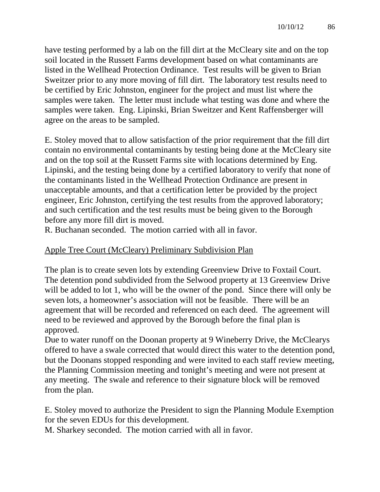have testing performed by a lab on the fill dirt at the McCleary site and on the top soil located in the Russett Farms development based on what contaminants are listed in the Wellhead Protection Ordinance. Test results will be given to Brian Sweitzer prior to any more moving of fill dirt. The laboratory test results need to be certified by Eric Johnston, engineer for the project and must list where the samples were taken. The letter must include what testing was done and where the samples were taken. Eng. Lipinski, Brian Sweitzer and Kent Raffensberger will agree on the areas to be sampled.

E. Stoley moved that to allow satisfaction of the prior requirement that the fill dirt contain no environmental contaminants by testing being done at the McCleary site and on the top soil at the Russett Farms site with locations determined by Eng. Lipinski, and the testing being done by a certified laboratory to verify that none of the contaminants listed in the Wellhead Protection Ordinance are present in unacceptable amounts, and that a certification letter be provided by the project engineer, Eric Johnston, certifying the test results from the approved laboratory; and such certification and the test results must be being given to the Borough before any more fill dirt is moved.

R. Buchanan seconded. The motion carried with all in favor.

## Apple Tree Court (McCleary) Preliminary Subdivision Plan

The plan is to create seven lots by extending Greenview Drive to Foxtail Court. The detention pond subdivided from the Selwood property at 13 Greenview Drive will be added to lot 1, who will be the owner of the pond. Since there will only be seven lots, a homeowner's association will not be feasible. There will be an agreement that will be recorded and referenced on each deed. The agreement will need to be reviewed and approved by the Borough before the final plan is approved.

Due to water runoff on the Doonan property at 9 Wineberry Drive, the McClearys offered to have a swale corrected that would direct this water to the detention pond, but the Doonans stopped responding and were invited to each staff review meeting, the Planning Commission meeting and tonight's meeting and were not present at any meeting. The swale and reference to their signature block will be removed from the plan.

E. Stoley moved to authorize the President to sign the Planning Module Exemption for the seven EDUs for this development.

M. Sharkey seconded. The motion carried with all in favor.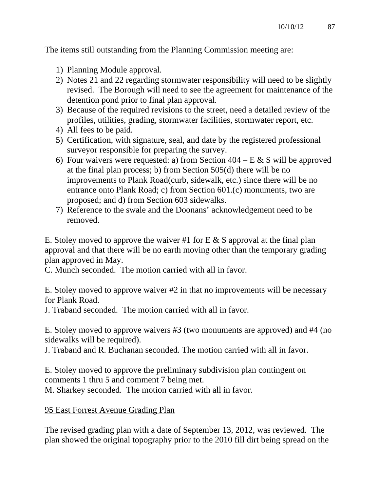The items still outstanding from the Planning Commission meeting are:

- 1) Planning Module approval.
- 2) Notes 21 and 22 regarding stormwater responsibility will need to be slightly revised. The Borough will need to see the agreement for maintenance of the detention pond prior to final plan approval.
- 3) Because of the required revisions to the street, need a detailed review of the profiles, utilities, grading, stormwater facilities, stormwater report, etc.
- 4) All fees to be paid.
- 5) Certification, with signature, seal, and date by the registered professional surveyor responsible for preparing the survey.
- 6) Four waivers were requested: a) from Section  $404 E \& S$  will be approved at the final plan process; b) from Section 505(d) there will be no improvements to Plank Road(curb, sidewalk, etc.) since there will be no entrance onto Plank Road; c) from Section 601.(c) monuments, two are proposed; and d) from Section 603 sidewalks.
- 7) Reference to the swale and the Doonans' acknowledgement need to be removed.

E. Stoley moved to approve the waiver #1 for  $E \& S$  approval at the final plan approval and that there will be no earth moving other than the temporary grading plan approved in May.

C. Munch seconded. The motion carried with all in favor.

E. Stoley moved to approve waiver #2 in that no improvements will be necessary for Plank Road.

J. Traband seconded. The motion carried with all in favor.

E. Stoley moved to approve waivers #3 (two monuments are approved) and #4 (no sidewalks will be required).

J. Traband and R. Buchanan seconded. The motion carried with all in favor.

E. Stoley moved to approve the preliminary subdivision plan contingent on comments 1 thru 5 and comment 7 being met.

M. Sharkey seconded. The motion carried with all in favor.

# 95 East Forrest Avenue Grading Plan

The revised grading plan with a date of September 13, 2012, was reviewed. The plan showed the original topography prior to the 2010 fill dirt being spread on the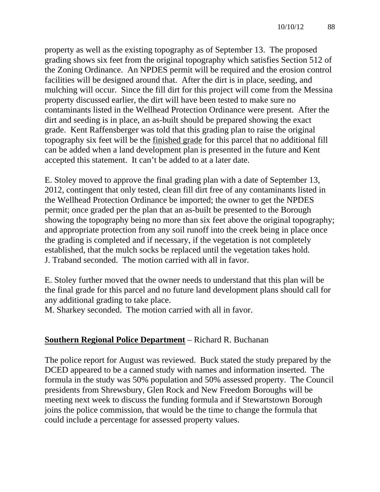property as well as the existing topography as of September 13. The proposed grading shows six feet from the original topography which satisfies Section 512 of the Zoning Ordinance. An NPDES permit will be required and the erosion control facilities will be designed around that. After the dirt is in place, seeding, and mulching will occur. Since the fill dirt for this project will come from the Messina property discussed earlier, the dirt will have been tested to make sure no contaminants listed in the Wellhead Protection Ordinance were present. After the dirt and seeding is in place, an as-built should be prepared showing the exact grade. Kent Raffensberger was told that this grading plan to raise the original topography six feet will be the finished grade for this parcel that no additional fill can be added when a land development plan is presented in the future and Kent accepted this statement. It can't be added to at a later date.

E. Stoley moved to approve the final grading plan with a date of September 13, 2012, contingent that only tested, clean fill dirt free of any contaminants listed in the Wellhead Protection Ordinance be imported; the owner to get the NPDES permit; once graded per the plan that an as-built be presented to the Borough showing the topography being no more than six feet above the original topography; and appropriate protection from any soil runoff into the creek being in place once the grading is completed and if necessary, if the vegetation is not completely established, that the mulch socks be replaced until the vegetation takes hold. J. Traband seconded. The motion carried with all in favor.

E. Stoley further moved that the owner needs to understand that this plan will be the final grade for this parcel and no future land development plans should call for any additional grading to take place.

M. Sharkey seconded. The motion carried with all in favor.

## **Southern Regional Police Department** – Richard R. Buchanan

The police report for August was reviewed. Buck stated the study prepared by the DCED appeared to be a canned study with names and information inserted. The formula in the study was 50% population and 50% assessed property. The Council presidents from Shrewsbury, Glen Rock and New Freedom Boroughs will be meeting next week to discuss the funding formula and if Stewartstown Borough joins the police commission, that would be the time to change the formula that could include a percentage for assessed property values.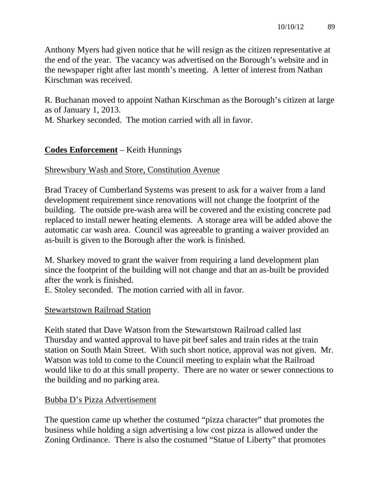Anthony Myers had given notice that he will resign as the citizen representative at the end of the year. The vacancy was advertised on the Borough's website and in the newspaper right after last month's meeting. A letter of interest from Nathan Kirschman was received.

R. Buchanan moved to appoint Nathan Kirschman as the Borough's citizen at large as of January 1, 2013.

M. Sharkey seconded. The motion carried with all in favor.

# **Codes Enforcement** – Keith Hunnings

## Shrewsbury Wash and Store, Constitution Avenue

Brad Tracey of Cumberland Systems was present to ask for a waiver from a land development requirement since renovations will not change the footprint of the building. The outside pre-wash area will be covered and the existing concrete pad replaced to install newer heating elements. A storage area will be added above the automatic car wash area. Council was agreeable to granting a waiver provided an as-built is given to the Borough after the work is finished.

M. Sharkey moved to grant the waiver from requiring a land development plan since the footprint of the building will not change and that an as-built be provided after the work is finished.

E. Stoley seconded. The motion carried with all in favor.

## Stewartstown Railroad Station

Keith stated that Dave Watson from the Stewartstown Railroad called last Thursday and wanted approval to have pit beef sales and train rides at the train station on South Main Street. With such short notice, approval was not given. Mr. Watson was told to come to the Council meeting to explain what the Railroad would like to do at this small property. There are no water or sewer connections to the building and no parking area.

## Bubba D's Pizza Advertisement

The question came up whether the costumed "pizza character" that promotes the business while holding a sign advertising a low cost pizza is allowed under the Zoning Ordinance. There is also the costumed "Statue of Liberty" that promotes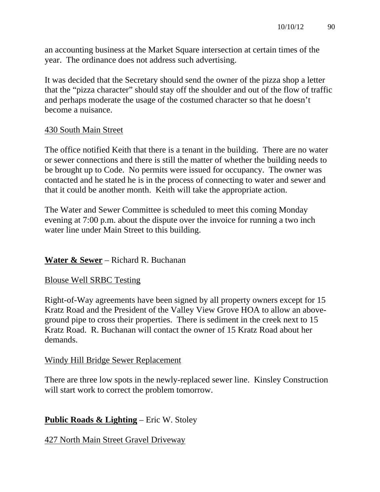an accounting business at the Market Square intersection at certain times of the year. The ordinance does not address such advertising.

It was decided that the Secretary should send the owner of the pizza shop a letter that the "pizza character" should stay off the shoulder and out of the flow of traffic and perhaps moderate the usage of the costumed character so that he doesn't become a nuisance.

#### 430 South Main Street

The office notified Keith that there is a tenant in the building. There are no water or sewer connections and there is still the matter of whether the building needs to be brought up to Code. No permits were issued for occupancy. The owner was contacted and he stated he is in the process of connecting to water and sewer and that it could be another month. Keith will take the appropriate action.

The Water and Sewer Committee is scheduled to meet this coming Monday evening at 7:00 p.m. about the dispute over the invoice for running a two inch water line under Main Street to this building.

## **Water & Sewer** – Richard R. Buchanan

## Blouse Well SRBC Testing

Right-of-Way agreements have been signed by all property owners except for 15 Kratz Road and the President of the Valley View Grove HOA to allow an aboveground pipe to cross their properties. There is sediment in the creek next to 15 Kratz Road. R. Buchanan will contact the owner of 15 Kratz Road about her demands.

## Windy Hill Bridge Sewer Replacement

There are three low spots in the newly-replaced sewer line. Kinsley Construction will start work to correct the problem tomorrow.

# **Public Roads & Lighting** – Eric W. Stoley

427 North Main Street Gravel Driveway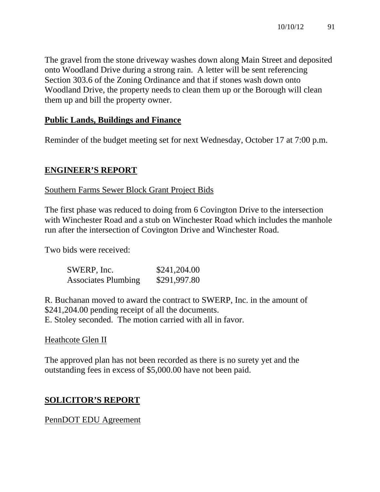The gravel from the stone driveway washes down along Main Street and deposited onto Woodland Drive during a strong rain. A letter will be sent referencing Section 303.6 of the Zoning Ordinance and that if stones wash down onto Woodland Drive, the property needs to clean them up or the Borough will clean them up and bill the property owner.

## **Public Lands, Buildings and Finance**

Reminder of the budget meeting set for next Wednesday, October 17 at 7:00 p.m.

#### **ENGINEER'S REPORT**

#### Southern Farms Sewer Block Grant Project Bids

The first phase was reduced to doing from 6 Covington Drive to the intersection with Winchester Road and a stub on Winchester Road which includes the manhole run after the intersection of Covington Drive and Winchester Road.

Two bids were received:

| SWERP, Inc.                | \$241,204.00 |
|----------------------------|--------------|
| <b>Associates Plumbing</b> | \$291,997.80 |

R. Buchanan moved to award the contract to SWERP, Inc. in the amount of \$241,204.00 pending receipt of all the documents. E. Stoley seconded. The motion carried with all in favor.

#### Heathcote Glen II

The approved plan has not been recorded as there is no surety yet and the outstanding fees in excess of \$5,000.00 have not been paid.

## **SOLICITOR'S REPORT**

PennDOT EDU Agreement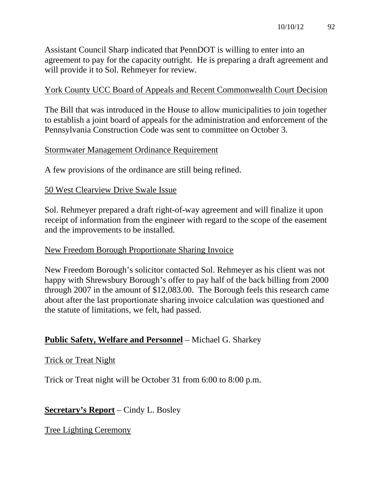Assistant Council Sharp indicated that PennDOT is willing to enter into an agreement to pay for the capacity outright. He is preparing a draft agreement and will provide it to Sol. Rehmeyer for review.

## York County UCC Board of Appeals and Recent Commonwealth Court Decision

The Bill that was introduced in the House to allow municipalities to join together to establish a joint board of appeals for the administration and enforcement of the Pennsylvania Construction Code was sent to committee on October 3.

## Stormwater Management Ordinance Requirement

A few provisions of the ordinance are still being refined.

#### 50 West Clearview Drive Swale Issue

Sol. Rehmeyer prepared a draft right-of-way agreement and will finalize it upon receipt of information from the engineer with regard to the scope of the easement and the improvements to be installed.

#### New Freedom Borough Proportionate Sharing Invoice

New Freedom Borough's solicitor contacted Sol. Rehmeyer as his client was not happy with Shrewsbury Borough's offer to pay half of the back billing from 2000 through 2007 in the amount of \$12,083.00. The Borough feels this research came about after the last proportionate sharing invoice calculation was questioned and the statute of limitations, we felt, had passed.

## **Public Safety, Welfare and Personnel** – Michael G. Sharkey

## Trick or Treat Night

Trick or Treat night will be October 31 from 6:00 to 8:00 p.m.

## **Secretary's Report** – Cindy L. Bosley

Tree Lighting Ceremony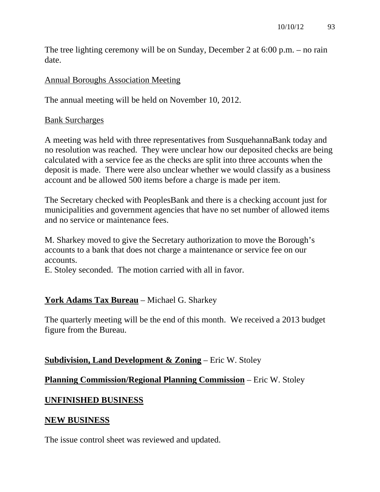The tree lighting ceremony will be on Sunday, December 2 at 6:00 p.m. – no rain date.

## Annual Boroughs Association Meeting

The annual meeting will be held on November 10, 2012.

## Bank Surcharges

A meeting was held with three representatives from SusquehannaBank today and no resolution was reached. They were unclear how our deposited checks are being calculated with a service fee as the checks are split into three accounts when the deposit is made. There were also unclear whether we would classify as a business account and be allowed 500 items before a charge is made per item.

The Secretary checked with PeoplesBank and there is a checking account just for municipalities and government agencies that have no set number of allowed items and no service or maintenance fees.

M. Sharkey moved to give the Secretary authorization to move the Borough's accounts to a bank that does not charge a maintenance or service fee on our accounts.

E. Stoley seconded. The motion carried with all in favor.

# **York Adams Tax Bureau** – Michael G. Sharkey

The quarterly meeting will be the end of this month. We received a 2013 budget figure from the Bureau.

# **Subdivision, Land Development & Zoning** – Eric W. Stoley

## **Planning Commission/Regional Planning Commission** – Eric W. Stoley

## **UNFINISHED BUSINESS**

## **NEW BUSINESS**

The issue control sheet was reviewed and updated.